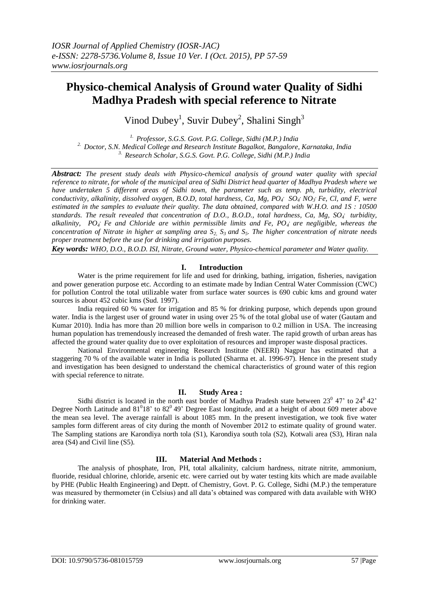# **Physico-chemical Analysis of Ground water Quality of Sidhi Madhya Pradesh with special reference to Nitrate**

Vinod Dubey<sup>1</sup>, Suvir Dubey<sup>2</sup>, Shalini Singh<sup>3</sup>

*1. Professor, S.G.S. Govt. P.G. College, Sidhi (M.P.) India 2. Doctor, S.N. Medical College and Research Institute Bagalkot, Bangalore, Karnataka, India 3. Research Scholar, S.G.S. Govt. P.G. College, Sidhi (M.P.) India*

*Abstract: The present study deals with Physico-chemical analysis of ground water quality with special reference to nitrate, for whole of the municipal area of Sidhi District head quarter of Madhya Pradesh where we have undertaken 5 different areas of Sidhi town, the parameter such as temp. ph, turbidity, electrical conductivity, alkalinity, dissolved oxygen, B.O.D, total hardness, Ca, Mg, PO<sub>4</sub>' SO<sub>4</sub>' NO<sub>3</sub>' Fe, Cl, and F, were estimated in the samples to evaluate their quality. The data obtained, compared with W.H.O. and 1S : 10500 standards. The result revealed that concentration of D.O., B.O.D., total hardness, Ca, Mg, SO<sub>4</sub><sup><i>, turbidity,*</sup> alkalinity, PO<sub>4</sub> Fe and Chloride are within permissible limits and Fe, PO<sub>4</sub> are negligible, whereas the *concentration of Nitrate in higher at sampling area S2, S3 and S5. The higher concentration of nitrate needs proper treatment before the use for drinking and irrigation purposes.* 

*Key words: WHO, D.O., B.O.D. ISI, Nitrate, Ground water, Physico-chemical parameter and Water quality.* 

#### **I. Introduction**

Water is the prime requirement for life and used for drinking, bathing, irrigation, fisheries, navigation and power generation purpose etc. According to an estimate made by Indian Central Water Commission (CWC) for pollution Control the total utilizable water from surface water sources is 690 cubic kms and ground water sources is about 452 cubic kms (Sud. 1997).

India required 60 % water for irrigation and 85 % for drinking purpose, which depends upon ground water. India is the largest user of ground water in using over 25 % of the total global use of water (Gautam and Kumar 2010). India has more than 20 million bore wells in comparison to 0.2 million in USA. The increasing human population has tremendously increased the demanded of fresh water. The rapid growth of urban areas has affected the ground water quality due to over exploitation of resources and improper waste disposal practices.

National Environmental engineering Research Institute (NEERI) Nagpur has estimated that a staggering 70 % of the available water in India is polluted (Sharma et. al. 1996-97). Hence in the present study and investigation has been designed to understand the chemical characteristics of ground water of this region with special reference to nitrate.

## **II. Study Area :**

Sidhi district is located in the north east border of Madhya Pradesh state between  $23^{\circ}$  47' to  $24^{\circ}$  42' Degree North Latitude and  $81^018'$  to  $82^049'$  Degree East longitude, and at a height of about 609 meter above the mean sea level. The average rainfall is about 1085 mm. In the present investigation, we took five water samples form different areas of city during the month of November 2012 to estimate quality of ground water. The Sampling stations are Karondiya north tola (S1), Karondiya south tola (S2), Kotwali area (S3), Hiran nala area (S4) and Civil line (S5).

## **III. Material And Methods :**

The analysis of phosphate, Iron, PH, total alkalinity, calcium hardness, nitrate nitrite, ammonium, fluoride, residual chlorine, chloride, arsenic etc. were carried out by water testing kits which are made available by PHE (Public Health Engineering) and Deptt. of Chemistry, Govt. P. G. College, Sidhi (M.P.) the temperature was measured by thermometer (in Celsius) and all data's obtained was compared with data available with WHO for drinking water.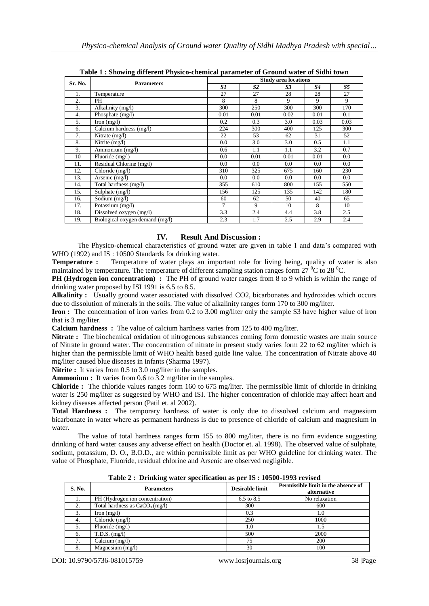| rabic r , bhowing unicrem r nysico-encimear parameter or Ground water or bigin town |                                          |                             |                |                |           |           |
|-------------------------------------------------------------------------------------|------------------------------------------|-----------------------------|----------------|----------------|-----------|-----------|
| Sr. No.                                                                             | <b>Parameters</b>                        | <b>Study area locations</b> |                |                |           |           |
|                                                                                     |                                          | S1                          | S <sub>2</sub> | S <sub>3</sub> | <b>S4</b> | <b>S5</b> |
| 1.                                                                                  | Temperature                              | 27                          | 27             | 28             | 28        | 27        |
| 2.                                                                                  | PH                                       | 8                           | 8              | 9              | 9         | 9         |
| 3.                                                                                  | Alkalinity (mg/l)                        | 300                         | 250            | 300            | 300       | 170       |
| 4.                                                                                  | Phosphate (mg/l)                         | 0.01                        | 0.01           | 0.02           | 0.01      | 0.1       |
| 5.                                                                                  | $\text{Iron} \left( \text{mg/l} \right)$ | 0.2                         | 0.3            | 3.0            | 0.03      | 0.03      |
| 6.                                                                                  | Calcium hardness (mg/l)                  | 224                         | 300            | 400            | 125       | 300       |
| 7.                                                                                  | Nitrate $(mg/l)$                         | 22                          | 53             | 62             | 31        | 52        |
| 8.                                                                                  | Nitrite (mg/l)                           | 0.0                         | 3.0            | 3.0            | 0.5       | 1.1       |
| 9.                                                                                  | Ammonium (mg/l)                          | 0.6                         | 1.1            | 1.1            | 3.2       | 0.7       |
| 10                                                                                  | Fluoride (mg/l)                          | 0.0                         | 0.01           | 0.01           | 0.01      | 0.0       |
| 11.                                                                                 | Residual Chlorine (mg/l)                 | 0.0                         | 0.0            | 0.0            | 0.0       | 0.0       |
| 12.                                                                                 | Chloride (mg/l)                          | 310                         | 325            | 675            | 160       | 230       |
| 13.                                                                                 | Arsenic $(mg/l)$                         | 0.0                         | 0.0            | 0.0            | 0.0       | 0.0       |
| 14.                                                                                 | Total hardness (mg/l)                    | 355                         | 610            | 800            | 155       | 550       |
| 15.                                                                                 | Sulphate $(mg/l)$                        | 156                         | 125            | 135            | 142       | 180       |
| 16.                                                                                 | Sodium (mg/l)                            | 60                          | 62             | 50             | 40        | 65        |
| 17.                                                                                 | Potassium (mg/l)                         | 7                           | 9              | 10             | 8         | 10        |
| 18.                                                                                 | Dissolved oxygen (mg/l)                  | 3.3                         | 2.4            | 4.4            | 3.8       | 2.5       |
| 19.                                                                                 | Biological oxygen demand (mg/l)          | 2.3                         | 1.7            | 2.5            | 2.9       | 2.4       |

**Table 1 : Showing different Physico-chemical parameter of Ground water of Sidhi town**

## **IV. Result And Discussion :**

The Physico-chemical characteristics of ground water are given in table 1 and data's compared with WHO (1992) and IS : 10500 Standards for drinking water.

**Temperature :** Temperature of water plays an important role for living being, quality of water is also maintained by temperature. The temperature of different sampling station ranges form  $27 \degree C$  to  $28 \degree C$ .

**PH (Hydrogen ion concentration) :** The PH of ground water ranges from 8 to 9 which is within the range of drinking water proposed by ISI 1991 is 6.5 to 8.5.

**Alkalinity :** Usually ground water associated with dissolved CO2, bicarbonates and hydroxides which occurs due to dissolution of minerals in the soils. The value of alkalinity ranges form 170 to 300 mg/liter.

**Iron :** The concentration of iron varies from 0.2 to 3.00 mg/liter only the sample S3 have higher value of iron that is 3 mg/liter.

**Calcium hardness :** The value of calcium hardness varies from 125 to 400 mg/liter.

**Nitrate :** The biochemical oxidation of nitrogenous substances coming form domestic wastes are main source of Nitrate in ground water. The concentration of nitrate in present study varies form 22 to 62 mg/liter which is higher than the permissible limit of WHO health based guide line value. The concentration of Nitrate above 40 mg/liter caused blue diseases in infants (Sharma 1997).

**Nitrite :** It varies from 0.5 to 3.0 mg/liter in the samples.

**Ammonium :** It varies from 0.6 to 3.2 mg/liter in the samples.

**Chloride :** The chloride values ranges form 160 to 675 mg/liter. The permissible limit of chloride in drinking water is 250 mg/liter as suggested by WHO and ISI. The higher concentration of chloride may affect heart and kidney diseases affected person (Patil et. al 2002).

**Total Hardness :** The temporary hardness of water is only due to dissolved calcium and magnesium bicarbonate in water where as permanent hardness is due to presence of chloride of calcium and magnesium in water.

The value of total hardness ranges form 155 to 800 mg/liter, there is no firm evidence suggesting drinking of hard water causes any adverse effect on health (Doctor et. al. 1998). The observed value of sulphate, sodium, potassium, D. O., B.O.D., are within permissible limit as per WHO guideline for drinking water. The value of Phosphate, Fluoride, residual chlorine and Arsenic are observed negligible.

| S. No. | <b>Parameters</b>               | <b>Desirable limit</b> | Permissible limit in the absence of<br>alternative |
|--------|---------------------------------|------------------------|----------------------------------------------------|
| 1.     | PH (Hydrogen ion concentration) | $6.5 \text{ to } 8.5$  | No relaxation                                      |
| 2.     | Total hardness as $CaCO3(mg/l)$ | 300                    | 600                                                |
| 3.     | Iron $(mg/l)$                   | 0.3                    |                                                    |
| 4.     | Chloride (mg/l)                 | 250                    | 1000                                               |
| 5.     | Fluoride (mg/l)                 | 1.0                    | 1.5                                                |
| 6.     | $T.D.S.$ $(mg/l)$               | 500                    | 2000                                               |
|        | Calcium $(mg/l)$                | 75                     | 200                                                |
| 8.     | Magnesium $(mg/l)$              | 30                     | 100                                                |

**Table 2 : Drinking water specification as per IS : 10500-1993 revised**